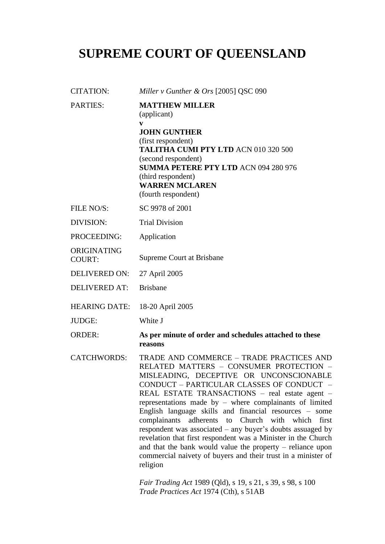# **SUPREME COURT OF QUEENSLAND**

| <b>CITATION:</b>             | Miller v Gunther & Ors [2005] QSC 090                                                                                                                                                                                                                                                                                                                |
|------------------------------|------------------------------------------------------------------------------------------------------------------------------------------------------------------------------------------------------------------------------------------------------------------------------------------------------------------------------------------------------|
| <b>PARTIES:</b>              | <b>MATTHEW MILLER</b><br>(applicant)<br>$\mathbf{v}$<br><b>JOHN GUNTHER</b><br>(first respondent)<br><b>TALITHA CUMI PTY LTD ACN 010 320 500</b><br>(second respondent)<br><b>SUMMA PETERE PTY LTD ACN 094 280 976</b><br>(third respondent)<br><b>WARREN MCLAREN</b><br>(fourth respondent)                                                         |
| FILE NO/S:                   | SC 9978 of 2001                                                                                                                                                                                                                                                                                                                                      |
| <b>DIVISION:</b>             | <b>Trial Division</b>                                                                                                                                                                                                                                                                                                                                |
| PROCEEDING:                  | Application                                                                                                                                                                                                                                                                                                                                          |
| ORIGINATING<br><b>COURT:</b> | Supreme Court at Brisbane                                                                                                                                                                                                                                                                                                                            |
| <b>DELIVERED ON:</b>         | 27 April 2005                                                                                                                                                                                                                                                                                                                                        |
| <b>DELIVERED AT:</b>         | <b>Brisbane</b>                                                                                                                                                                                                                                                                                                                                      |
| <b>HEARING DATE:</b>         | 18-20 April 2005                                                                                                                                                                                                                                                                                                                                     |
| <b>JUDGE:</b>                | White J                                                                                                                                                                                                                                                                                                                                              |
| <b>ORDER:</b>                | As per minute of order and schedules attached to these<br>reasons                                                                                                                                                                                                                                                                                    |
| <b>CATCHWORDS:</b>           | TRADE AND COMMERCE - TRADE PRACTICES AND<br>RELATED MATTERS - CONSUMER PROTECTION -<br>MISLEADING, DECEPTIVE OR UNCONSCIONABLE<br>CONDUCT - PARTICULAR CLASSES OF CONDUCT -<br>REAL ESTATE TRANSACTIONS - real estate agent -<br>representations made by $-$ where complainants of limited<br>English language skills and financial resources – some |

*Fair Trading Act* 1989 (Qld), s 19, s 21, s 39, s 98, s 100 *Trade Practices Act* 1974 (Cth), s 51AB

religion

complainants adherents to Church with which first respondent was associated – any buyer's doubts assuaged by revelation that first respondent was a Minister in the Church and that the bank would value the property – reliance upon commercial naivety of buyers and their trust in a minister of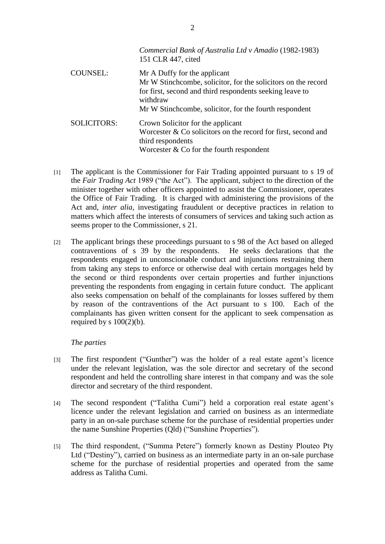|                    | Commercial Bank of Australia Ltd v Amadio (1982-1983)<br>151 CLR 447, cited                                                                                              |
|--------------------|--------------------------------------------------------------------------------------------------------------------------------------------------------------------------|
| <b>COUNSEL:</b>    | Mr A Duffy for the applicant<br>Mr W Stinchcombe, solicitor, for the solicitors on the record<br>for first, second and third respondents seeking leave to<br>withdraw    |
|                    | Mr W Stinchcombe, solicitor, for the fourth respondent                                                                                                                   |
| <b>SOLICITORS:</b> | Crown Solicitor for the applicant<br>Worcester $\&$ Co solicitors on the record for first, second and<br>third respondents<br>Worcester $& Co$ for the fourth respondent |

- [1] The applicant is the Commissioner for Fair Trading appointed pursuant to s 19 of the *Fair Trading Act* 1989 ("the Act"). The applicant, subject to the direction of the minister together with other officers appointed to assist the Commissioner, operates the Office of Fair Trading. It is charged with administering the provisions of the Act and, *inter alia*, investigating fraudulent or deceptive practices in relation to matters which affect the interests of consumers of services and taking such action as seems proper to the Commissioner, s 21.
- [2] The applicant brings these proceedings pursuant to s 98 of the Act based on alleged contraventions of s 39 by the respondents. He seeks declarations that the respondents engaged in unconscionable conduct and injunctions restraining them from taking any steps to enforce or otherwise deal with certain mortgages held by the second or third respondents over certain properties and further injunctions preventing the respondents from engaging in certain future conduct. The applicant also seeks compensation on behalf of the complainants for losses suffered by them by reason of the contraventions of the Act pursuant to s 100. Each of the complainants has given written consent for the applicant to seek compensation as required by s  $100(2)(b)$ .

## *The parties*

- [3] The first respondent ("Gunther") was the holder of a real estate agent's licence under the relevant legislation, was the sole director and secretary of the second respondent and held the controlling share interest in that company and was the sole director and secretary of the third respondent.
- [4] The second respondent ("Talitha Cumi") held a corporation real estate agent's licence under the relevant legislation and carried on business as an intermediate party in an on-sale purchase scheme for the purchase of residential properties under the name Sunshine Properties (Qld) ("Sunshine Properties").
- [5] The third respondent, ("Summa Petere") formerly known as Destiny Plouteo Pty Ltd ("Destiny"), carried on business as an intermediate party in an on-sale purchase scheme for the purchase of residential properties and operated from the same address as Talitha Cumi.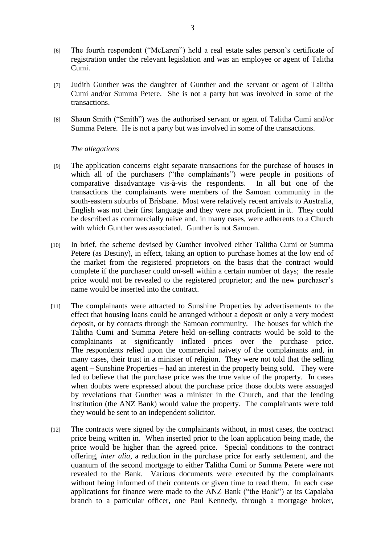- [6] The fourth respondent ("McLaren") held a real estate sales person's certificate of registration under the relevant legislation and was an employee or agent of Talitha Cumi.
- [7] Judith Gunther was the daughter of Gunther and the servant or agent of Talitha Cumi and/or Summa Petere. She is not a party but was involved in some of the transactions.
- [8] Shaun Smith ("Smith") was the authorised servant or agent of Talitha Cumi and/or Summa Petere. He is not a party but was involved in some of the transactions.

## *The allegations*

- [9] The application concerns eight separate transactions for the purchase of houses in which all of the purchasers ("the complainants") were people in positions of comparative disadvantage vis-à-vis the respondents. In all but one of the transactions the complainants were members of the Samoan community in the south-eastern suburbs of Brisbane. Most were relatively recent arrivals to Australia, English was not their first language and they were not proficient in it. They could be described as commercially naive and, in many cases, were adherents to a Church with which Gunther was associated. Gunther is not Samoan.
- [10] In brief, the scheme devised by Gunther involved either Talitha Cumi or Summa Petere (as Destiny), in effect, taking an option to purchase homes at the low end of the market from the registered proprietors on the basis that the contract would complete if the purchaser could on-sell within a certain number of days; the resale price would not be revealed to the registered proprietor; and the new purchaser's name would be inserted into the contract.
- [11] The complainants were attracted to Sunshine Properties by advertisements to the effect that housing loans could be arranged without a deposit or only a very modest deposit, or by contacts through the Samoan community. The houses for which the Talitha Cumi and Summa Petere held on-selling contracts would be sold to the complainants at significantly inflated prices over the purchase price. The respondents relied upon the commercial naivety of the complainants and, in many cases, their trust in a minister of religion. They were not told that the selling agent – Sunshine Properties – had an interest in the property being sold. They were led to believe that the purchase price was the true value of the property. In cases when doubts were expressed about the purchase price those doubts were assuaged by revelations that Gunther was a minister in the Church, and that the lending institution (the ANZ Bank) would value the property. The complainants were told they would be sent to an independent solicitor.
- [12] The contracts were signed by the complainants without, in most cases, the contract price being written in. When inserted prior to the loan application being made, the price would be higher than the agreed price. Special conditions to the contract offering, *inter alia*, a reduction in the purchase price for early settlement, and the quantum of the second mortgage to either Talitha Cumi or Summa Petere were not revealed to the Bank. Various documents were executed by the complainants without being informed of their contents or given time to read them. In each case applications for finance were made to the ANZ Bank ("the Bank") at its Capalaba branch to a particular officer, one Paul Kennedy, through a mortgage broker,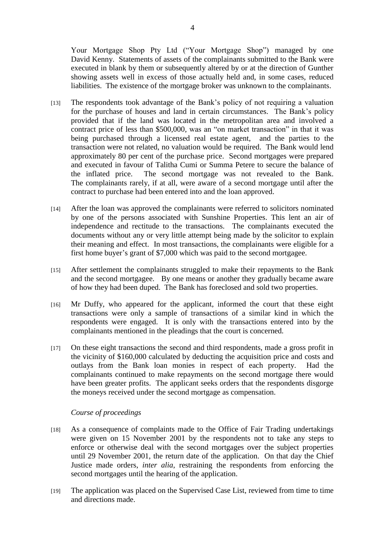Your Mortgage Shop Pty Ltd ("Your Mortgage Shop") managed by one David Kenny. Statements of assets of the complainants submitted to the Bank were executed in blank by them or subsequently altered by or at the direction of Gunther showing assets well in excess of those actually held and, in some cases, reduced liabilities. The existence of the mortgage broker was unknown to the complainants.

- [13] The respondents took advantage of the Bank's policy of not requiring a valuation for the purchase of houses and land in certain circumstances. The Bank's policy provided that if the land was located in the metropolitan area and involved a contract price of less than \$500,000, was an "on market transaction" in that it was being purchased through a licensed real estate agent, and the parties to the transaction were not related, no valuation would be required. The Bank would lend approximately 80 per cent of the purchase price. Second mortgages were prepared and executed in favour of Talitha Cumi or Summa Petere to secure the balance of the inflated price. The second mortgage was not revealed to the Bank. The complainants rarely, if at all, were aware of a second mortgage until after the contract to purchase had been entered into and the loan approved.
- [14] After the loan was approved the complainants were referred to solicitors nominated by one of the persons associated with Sunshine Properties. This lent an air of independence and rectitude to the transactions. The complainants executed the documents without any or very little attempt being made by the solicitor to explain their meaning and effect. In most transactions, the complainants were eligible for a first home buyer's grant of \$7,000 which was paid to the second mortgagee.
- [15] After settlement the complainants struggled to make their repayments to the Bank and the second mortgagee. By one means or another they gradually became aware of how they had been duped. The Bank has foreclosed and sold two properties.
- [16] Mr Duffy, who appeared for the applicant, informed the court that these eight transactions were only a sample of transactions of a similar kind in which the respondents were engaged. It is only with the transactions entered into by the complainants mentioned in the pleadings that the court is concerned.
- [17] On these eight transactions the second and third respondents, made a gross profit in the vicinity of \$160,000 calculated by deducting the acquisition price and costs and outlays from the Bank loan monies in respect of each property. Had the complainants continued to make repayments on the second mortgage there would have been greater profits. The applicant seeks orders that the respondents disgorge the moneys received under the second mortgage as compensation.

## *Course of proceedings*

- [18] As a consequence of complaints made to the Office of Fair Trading undertakings were given on 15 November 2001 by the respondents not to take any steps to enforce or otherwise deal with the second mortgages over the subject properties until 29 November 2001, the return date of the application. On that day the Chief Justice made orders, *inter alia*, restraining the respondents from enforcing the second mortgages until the hearing of the application.
- [19] The application was placed on the Supervised Case List, reviewed from time to time and directions made.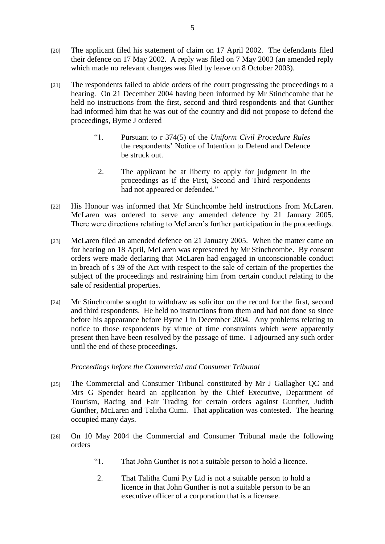- [20] The applicant filed his statement of claim on 17 April 2002. The defendants filed their defence on 17 May 2002. A reply was filed on 7 May 2003 (an amended reply which made no relevant changes was filed by leave on 8 October 2003).
- [21] The respondents failed to abide orders of the court progressing the proceedings to a hearing. On 21 December 2004 having been informed by Mr Stinchcombe that he held no instructions from the first, second and third respondents and that Gunther had informed him that he was out of the country and did not propose to defend the proceedings, Byrne J ordered
	- "1. Pursuant to r 374(5) of the *Uniform Civil Procedure Rules* the respondents' Notice of Intention to Defend and Defence be struck out.
	- 2. The applicant be at liberty to apply for judgment in the proceedings as if the First, Second and Third respondents had not appeared or defended."
- [22] His Honour was informed that Mr Stinchcombe held instructions from McLaren. McLaren was ordered to serve any amended defence by 21 January 2005. There were directions relating to McLaren's further participation in the proceedings.
- [23] McLaren filed an amended defence on 21 January 2005. When the matter came on for hearing on 18 April, McLaren was represented by Mr Stinchcombe. By consent orders were made declaring that McLaren had engaged in unconscionable conduct in breach of s 39 of the Act with respect to the sale of certain of the properties the subject of the proceedings and restraining him from certain conduct relating to the sale of residential properties.
- [24] Mr Stinchcombe sought to withdraw as solicitor on the record for the first, second and third respondents. He held no instructions from them and had not done so since before his appearance before Byrne J in December 2004. Any problems relating to notice to those respondents by virtue of time constraints which were apparently present then have been resolved by the passage of time. I adjourned any such order until the end of these proceedings.

## *Proceedings before the Commercial and Consumer Tribunal*

- [25] The Commercial and Consumer Tribunal constituted by Mr J Gallagher QC and Mrs G Spender heard an application by the Chief Executive, Department of Tourism, Racing and Fair Trading for certain orders against Gunther, Judith Gunther, McLaren and Talitha Cumi. That application was contested. The hearing occupied many days.
- [26] On 10 May 2004 the Commercial and Consumer Tribunal made the following orders
	- "1. That John Gunther is not a suitable person to hold a licence.
	- 2. That Talitha Cumi Pty Ltd is not a suitable person to hold a licence in that John Gunther is not a suitable person to be an executive officer of a corporation that is a licensee.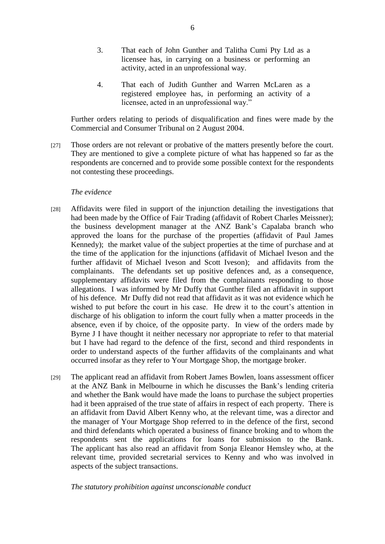- 3. That each of John Gunther and Talitha Cumi Pty Ltd as a licensee has, in carrying on a business or performing an activity, acted in an unprofessional way.
- 4. That each of Judith Gunther and Warren McLaren as a registered employee has, in performing an activity of a licensee, acted in an unprofessional way."

Further orders relating to periods of disqualification and fines were made by the Commercial and Consumer Tribunal on 2 August 2004.

[27] Those orders are not relevant or probative of the matters presently before the court. They are mentioned to give a complete picture of what has happened so far as the respondents are concerned and to provide some possible context for the respondents not contesting these proceedings.

## *The evidence*

- [28] Affidavits were filed in support of the injunction detailing the investigations that had been made by the Office of Fair Trading (affidavit of Robert Charles Meissner); the business development manager at the ANZ Bank's Capalaba branch who approved the loans for the purchase of the properties (affidavit of Paul James Kennedy); the market value of the subject properties at the time of purchase and at the time of the application for the injunctions (affidavit of Michael Iveson and the further affidavit of Michael Iveson and Scott Iveson); and affidavits from the complainants. The defendants set up positive defences and, as a consequence, supplementary affidavits were filed from the complainants responding to those allegations. I was informed by Mr Duffy that Gunther filed an affidavit in support of his defence. Mr Duffy did not read that affidavit as it was not evidence which he wished to put before the court in his case. He drew it to the court's attention in discharge of his obligation to inform the court fully when a matter proceeds in the absence, even if by choice, of the opposite party. In view of the orders made by Byrne J I have thought it neither necessary nor appropriate to refer to that material but I have had regard to the defence of the first, second and third respondents in order to understand aspects of the further affidavits of the complainants and what occurred insofar as they refer to Your Mortgage Shop, the mortgage broker.
- [29] The applicant read an affidavit from Robert James Bowlen, loans assessment officer at the ANZ Bank in Melbourne in which he discusses the Bank's lending criteria and whether the Bank would have made the loans to purchase the subject properties had it been appraised of the true state of affairs in respect of each property. There is an affidavit from David Albert Kenny who, at the relevant time, was a director and the manager of Your Mortgage Shop referred to in the defence of the first, second and third defendants which operated a business of finance broking and to whom the respondents sent the applications for loans for submission to the Bank. The applicant has also read an affidavit from Sonja Eleanor Hemsley who, at the relevant time, provided secretarial services to Kenny and who was involved in aspects of the subject transactions.

## *The statutory prohibition against unconscionable conduct*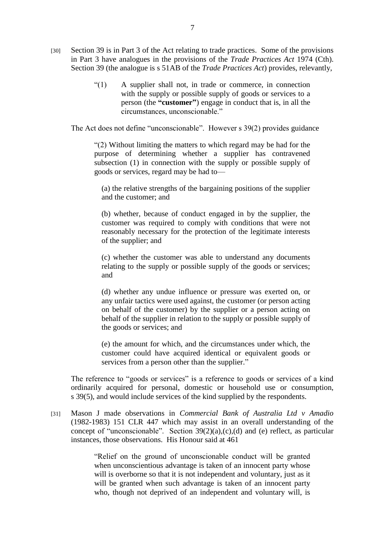- [30] Section 39 is in Part 3 of the Act relating to trade practices. Some of the provisions in Part 3 have analogues in the provisions of the *Trade Practices Act* 1974 (Cth). Section 39 (the analogue is s 51AB of the *Trade Practices Act*) provides, relevantly,
	- "(1) A supplier shall not, in trade or commerce, in connection with the supply or possible supply of goods or services to a person (the **"customer"**) engage in conduct that is, in all the circumstances, unconscionable."

The Act does not define "unconscionable". However s 39(2) provides guidance

"(2) Without limiting the matters to which regard may be had for the purpose of determining whether a supplier has contravened subsection (1) in connection with the supply or possible supply of goods or services, regard may be had to—

(a) the relative strengths of the bargaining positions of the supplier and the customer; and

(b) whether, because of conduct engaged in by the supplier, the customer was required to comply with conditions that were not reasonably necessary for the protection of the legitimate interests of the supplier; and

(c) whether the customer was able to understand any documents relating to the supply or possible supply of the goods or services; and

(d) whether any undue influence or pressure was exerted on, or any unfair tactics were used against, the customer (or person acting on behalf of the customer) by the supplier or a person acting on behalf of the supplier in relation to the supply or possible supply of the goods or services; and

(e) the amount for which, and the circumstances under which, the customer could have acquired identical or equivalent goods or services from a person other than the supplier."

The reference to "goods or services" is a reference to goods or services of a kind ordinarily acquired for personal, domestic or household use or consumption, s 39(5), and would include services of the kind supplied by the respondents.

[31] Mason J made observations in *Commercial Bank of Australia Ltd v Amadio* (1982-1983) 151 CLR 447 which may assist in an overall understanding of the concept of "unconscionable". Section 39(2)(a),(c),(d) and (e) reflect, as particular instances, those observations. His Honour said at 461

> "Relief on the ground of unconscionable conduct will be granted when unconscientious advantage is taken of an innocent party whose will is overborne so that it is not independent and voluntary, just as it will be granted when such advantage is taken of an innocent party who, though not deprived of an independent and voluntary will, is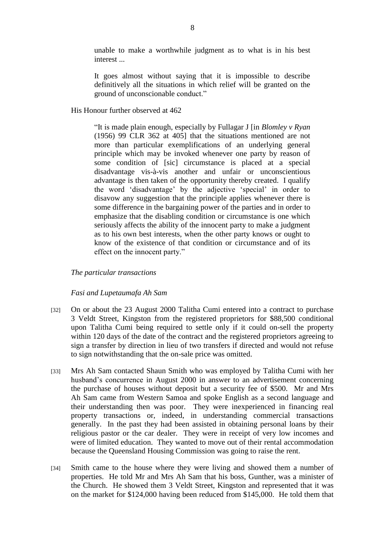unable to make a worthwhile judgment as to what is in his best interest ...

It goes almost without saying that it is impossible to describe definitively all the situations in which relief will be granted on the ground of unconscionable conduct."

His Honour further observed at 462

"It is made plain enough, especially by Fullagar J [in *Blomley v Ryan* (1956) 99 CLR 362 at 405] that the situations mentioned are not more than particular exemplifications of an underlying general principle which may be invoked whenever one party by reason of some condition of [sic] circumstance is placed at a special disadvantage vis-à-vis another and unfair or unconscientious advantage is then taken of the opportunity thereby created. I qualify the word 'disadvantage' by the adjective 'special' in order to disavow any suggestion that the principle applies whenever there is some difference in the bargaining power of the parties and in order to emphasize that the disabling condition or circumstance is one which seriously affects the ability of the innocent party to make a judgment as to his own best interests, when the other party knows or ought to know of the existence of that condition or circumstance and of its effect on the innocent party."

*The particular transactions*

## *Fasi and Lupetaumafa Ah Sam*

- [32] On or about the 23 August 2000 Talitha Cumi entered into a contract to purchase 3 Veldt Street, Kingston from the registered proprietors for \$88,500 conditional upon Talitha Cumi being required to settle only if it could on-sell the property within 120 days of the date of the contract and the registered proprietors agreeing to sign a transfer by direction in lieu of two transfers if directed and would not refuse to sign notwithstanding that the on-sale price was omitted.
- [33] Mrs Ah Sam contacted Shaun Smith who was employed by Talitha Cumi with her husband's concurrence in August 2000 in answer to an advertisement concerning the purchase of houses without deposit but a security fee of \$500. Mr and Mrs Ah Sam came from Western Samoa and spoke English as a second language and their understanding then was poor. They were inexperienced in financing real property transactions or, indeed, in understanding commercial transactions generally. In the past they had been assisted in obtaining personal loans by their religious pastor or the car dealer. They were in receipt of very low incomes and were of limited education. They wanted to move out of their rental accommodation because the Queensland Housing Commission was going to raise the rent.
- [34] Smith came to the house where they were living and showed them a number of properties. He told Mr and Mrs Ah Sam that his boss, Gunther, was a minister of the Church. He showed them 3 Veldt Street, Kingston and represented that it was on the market for \$124,000 having been reduced from \$145,000. He told them that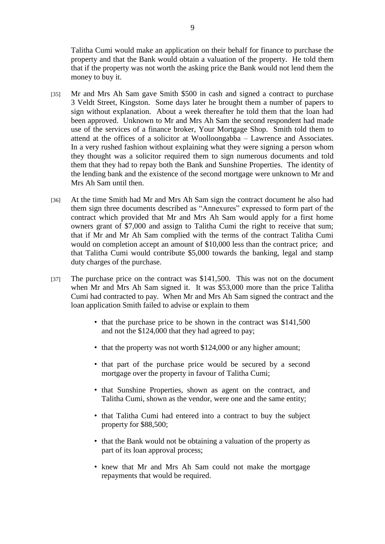Talitha Cumi would make an application on their behalf for finance to purchase the property and that the Bank would obtain a valuation of the property. He told them that if the property was not worth the asking price the Bank would not lend them the money to buy it.

- [35] Mr and Mrs Ah Sam gave Smith \$500 in cash and signed a contract to purchase 3 Veldt Street, Kingston. Some days later he brought them a number of papers to sign without explanation. About a week thereafter he told them that the loan had been approved. Unknown to Mr and Mrs Ah Sam the second respondent had made use of the services of a finance broker, Your Mortgage Shop. Smith told them to attend at the offices of a solicitor at Woolloongabba – Lawrence and Associates. In a very rushed fashion without explaining what they were signing a person whom they thought was a solicitor required them to sign numerous documents and told them that they had to repay both the Bank and Sunshine Properties. The identity of the lending bank and the existence of the second mortgage were unknown to Mr and Mrs Ah Sam until then.
- [36] At the time Smith had Mr and Mrs Ah Sam sign the contract document he also had them sign three documents described as "Annexures" expressed to form part of the contract which provided that Mr and Mrs Ah Sam would apply for a first home owners grant of \$7,000 and assign to Talitha Cumi the right to receive that sum; that if Mr and Mr Ah Sam complied with the terms of the contract Talitha Cumi would on completion accept an amount of \$10,000 less than the contract price; and that Talitha Cumi would contribute \$5,000 towards the banking, legal and stamp duty charges of the purchase.
- [37] The purchase price on the contract was \$141,500. This was not on the document when Mr and Mrs Ah Sam signed it. It was \$53,000 more than the price Talitha Cumi had contracted to pay. When Mr and Mrs Ah Sam signed the contract and the loan application Smith failed to advise or explain to them
	- that the purchase price to be shown in the contract was \$141,500 and not the \$124,000 that they had agreed to pay;
	- that the property was not worth \$124,000 or any higher amount;
	- that part of the purchase price would be secured by a second mortgage over the property in favour of Talitha Cumi;
	- that Sunshine Properties, shown as agent on the contract, and Talitha Cumi, shown as the vendor, were one and the same entity;
	- that Talitha Cumi had entered into a contract to buy the subject property for \$88,500;
	- that the Bank would not be obtaining a valuation of the property as part of its loan approval process;
	- knew that Mr and Mrs Ah Sam could not make the mortgage repayments that would be required.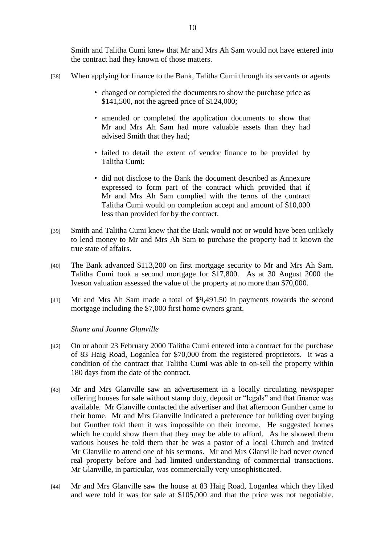Smith and Talitha Cumi knew that Mr and Mrs Ah Sam would not have entered into the contract had they known of those matters.

- [38] When applying for finance to the Bank, Talitha Cumi through its servants or agents
	- changed or completed the documents to show the purchase price as \$141,500, not the agreed price of \$124,000;
	- amended or completed the application documents to show that Mr and Mrs Ah Sam had more valuable assets than they had advised Smith that they had;
	- failed to detail the extent of vendor finance to be provided by Talitha Cumi;
	- did not disclose to the Bank the document described as Annexure expressed to form part of the contract which provided that if Mr and Mrs Ah Sam complied with the terms of the contract Talitha Cumi would on completion accept and amount of \$10,000 less than provided for by the contract.
- [39] Smith and Talitha Cumi knew that the Bank would not or would have been unlikely to lend money to Mr and Mrs Ah Sam to purchase the property had it known the true state of affairs.
- [40] The Bank advanced \$113,200 on first mortgage security to Mr and Mrs Ah Sam. Talitha Cumi took a second mortgage for \$17,800. As at 30 August 2000 the Iveson valuation assessed the value of the property at no more than \$70,000.
- [41] Mr and Mrs Ah Sam made a total of \$9,491.50 in payments towards the second mortgage including the \$7,000 first home owners grant.

*Shane and Joanne Glanville*

- [42] On or about 23 February 2000 Talitha Cumi entered into a contract for the purchase of 83 Haig Road, Loganlea for \$70,000 from the registered proprietors. It was a condition of the contract that Talitha Cumi was able to on-sell the property within 180 days from the date of the contract.
- [43] Mr and Mrs Glanville saw an advertisement in a locally circulating newspaper offering houses for sale without stamp duty, deposit or "legals" and that finance was available. Mr Glanville contacted the advertiser and that afternoon Gunther came to their home. Mr and Mrs Glanville indicated a preference for building over buying but Gunther told them it was impossible on their income. He suggested homes which he could show them that they may be able to afford. As he showed them various houses he told them that he was a pastor of a local Church and invited Mr Glanville to attend one of his sermons. Mr and Mrs Glanville had never owned real property before and had limited understanding of commercial transactions. Mr Glanville, in particular, was commercially very unsophisticated.
- [44] Mr and Mrs Glanville saw the house at 83 Haig Road, Loganlea which they liked and were told it was for sale at \$105,000 and that the price was not negotiable.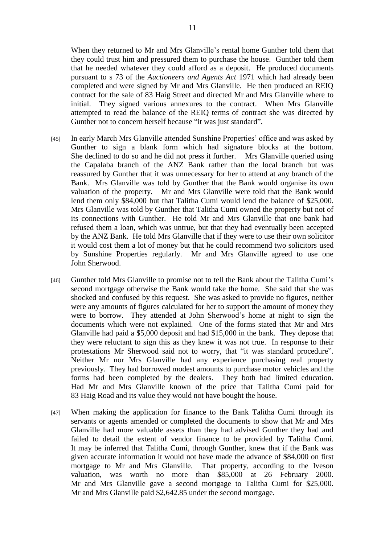When they returned to Mr and Mrs Glanville's rental home Gunther told them that they could trust him and pressured them to purchase the house. Gunther told them that he needed whatever they could afford as a deposit. He produced documents pursuant to s 73 of the *Auctioneers and Agents Act* 1971 which had already been completed and were signed by Mr and Mrs Glanville. He then produced an REIQ contract for the sale of 83 Haig Street and directed Mr and Mrs Glanville where to initial. They signed various annexures to the contract. When Mrs Glanville attempted to read the balance of the REIQ terms of contract she was directed by Gunther not to concern herself because "it was just standard".

- [45] In early March Mrs Glanville attended Sunshine Properties' office and was asked by Gunther to sign a blank form which had signature blocks at the bottom. She declined to do so and he did not press it further. Mrs Glanville queried using the Capalaba branch of the ANZ Bank rather than the local branch but was reassured by Gunther that it was unnecessary for her to attend at any branch of the Bank. Mrs Glanville was told by Gunther that the Bank would organise its own valuation of the property. Mr and Mrs Glanville were told that the Bank would lend them only \$84,000 but that Talitha Cumi would lend the balance of \$25,000. Mrs Glanville was told by Gunther that Talitha Cumi owned the property but not of its connections with Gunther. He told Mr and Mrs Glanville that one bank had refused them a loan, which was untrue, but that they had eventually been accepted by the ANZ Bank. He told Mrs Glanville that if they were to use their own solicitor it would cost them a lot of money but that he could recommend two solicitors used by Sunshine Properties regularly. Mr and Mrs Glanville agreed to use one John Sherwood.
- [46] Gunther told Mrs Glanville to promise not to tell the Bank about the Talitha Cumi's second mortgage otherwise the Bank would take the home. She said that she was shocked and confused by this request. She was asked to provide no figures, neither were any amounts of figures calculated for her to support the amount of money they were to borrow. They attended at John Sherwood's home at night to sign the documents which were not explained. One of the forms stated that Mr and Mrs Glanville had paid a \$5,000 deposit and had \$15,000 in the bank. They depose that they were reluctant to sign this as they knew it was not true. In response to their protestations Mr Sherwood said not to worry, that "it was standard procedure". Neither Mr nor Mrs Glanville had any experience purchasing real property previously. They had borrowed modest amounts to purchase motor vehicles and the forms had been completed by the dealers. They both had limited education. Had Mr and Mrs Glanville known of the price that Talitha Cumi paid for 83 Haig Road and its value they would not have bought the house.
- [47] When making the application for finance to the Bank Talitha Cumi through its servants or agents amended or completed the documents to show that Mr and Mrs Glanville had more valuable assets than they had advised Gunther they had and failed to detail the extent of vendor finance to be provided by Talitha Cumi. It may be inferred that Talitha Cumi, through Gunther, knew that if the Bank was given accurate information it would not have made the advance of \$84,000 on first mortgage to Mr and Mrs Glanville. That property, according to the Iveson valuation, was worth no more than \$85,000 at 26 February 2000. Mr and Mrs Glanville gave a second mortgage to Talitha Cumi for \$25,000. Mr and Mrs Glanville paid \$2,642.85 under the second mortgage.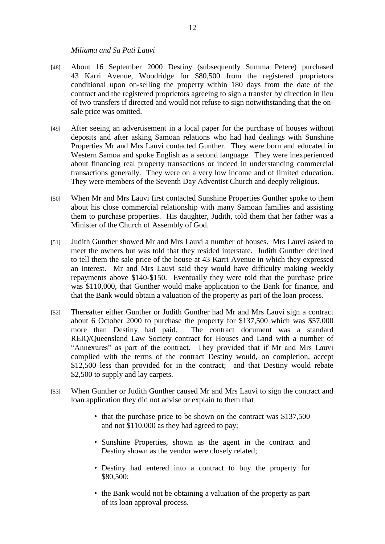#### *Miliama and Sa Pati Lauvi*

- [48] About 16 September 2000 Destiny (subsequently Summa Petere) purchased 43 Karri Avenue, Woodridge for \$80,500 from the registered proprietors conditional upon on-selling the property within 180 days from the date of the contract and the registered proprietors agreeing to sign a transfer by direction in lieu of two transfers if directed and would not refuse to sign notwithstanding that the onsale price was omitted.
- [49] After seeing an advertisement in a local paper for the purchase of houses without deposits and after asking Samoan relations who had had dealings with Sunshine Properties Mr and Mrs Lauvi contacted Gunther. They were born and educated in Western Samoa and spoke English as a second language. They were inexperienced about financing real property transactions or indeed in understanding commercial transactions generally. They were on a very low income and of limited education. They were members of the Seventh Day Adventist Church and deeply religious.
- [50] When Mr and Mrs Lauvi first contacted Sunshine Properties Gunther spoke to them about his close commercial relationship with many Samoan families and assisting them to purchase properties. His daughter, Judith, told them that her father was a Minister of the Church of Assembly of God.
- [51] Judith Gunther showed Mr and Mrs Lauvi a number of houses. Mrs Lauvi asked to meet the owners but was told that they resided interstate. Judith Gunther declined to tell them the sale price of the house at 43 Karri Avenue in which they expressed an interest. Mr and Mrs Lauvi said they would have difficulty making weekly repayments above \$140-\$150. Eventually they were told that the purchase price was \$110,000, that Gunther would make application to the Bank for finance, and that the Bank would obtain a valuation of the property as part of the loan process.
- [52] Thereafter either Gunther or Judith Gunther had Mr and Mrs Lauvi sign a contract about 6 October 2000 to purchase the property for \$137,500 which was \$57,000 more than Destiny had paid. The contract document was a standard REIQ/Queensland Law Society contract for Houses and Land with a number of "Annexures" as part of the contract. They provided that if Mr and Mrs Lauvi complied with the terms of the contract Destiny would, on completion, accept \$12,500 less than provided for in the contract; and that Destiny would rebate \$2,500 to supply and lay carpets.
- [53] When Gunther or Judith Gunther caused Mr and Mrs Lauvi to sign the contract and loan application they did not advise or explain to them that
	- that the purchase price to be shown on the contract was \$137,500 and not \$110,000 as they had agreed to pay;
	- Sunshine Properties, shown as the agent in the contract and Destiny shown as the vendor were closely related;
	- Destiny had entered into a contract to buy the property for \$80,500;
	- the Bank would not be obtaining a valuation of the property as part of its loan approval process.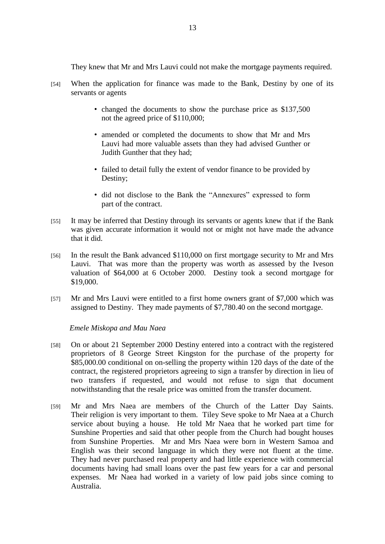They knew that Mr and Mrs Lauvi could not make the mortgage payments required.

- [54] When the application for finance was made to the Bank, Destiny by one of its servants or agents
	- changed the documents to show the purchase price as \$137,500 not the agreed price of \$110,000;
	- amended or completed the documents to show that Mr and Mrs Lauvi had more valuable assets than they had advised Gunther or Judith Gunther that they had;
	- failed to detail fully the extent of vendor finance to be provided by Destiny;
	- did not disclose to the Bank the "Annexures" expressed to form part of the contract.
- [55] It may be inferred that Destiny through its servants or agents knew that if the Bank was given accurate information it would not or might not have made the advance that it did.
- [56] In the result the Bank advanced \$110,000 on first mortgage security to Mr and Mrs Lauvi. That was more than the property was worth as assessed by the Iveson valuation of \$64,000 at 6 October 2000. Destiny took a second mortgage for \$19,000.
- [57] Mr and Mrs Lauvi were entitled to a first home owners grant of \$7,000 which was assigned to Destiny. They made payments of \$7,780.40 on the second mortgage.

## *Emele Miskopa and Mau Naea*

- [58] On or about 21 September 2000 Destiny entered into a contract with the registered proprietors of 8 George Street Kingston for the purchase of the property for \$85,000.00 conditional on on-selling the property within 120 days of the date of the contract, the registered proprietors agreeing to sign a transfer by direction in lieu of two transfers if requested, and would not refuse to sign that document notwithstanding that the resale price was omitted from the transfer document.
- [59] Mr and Mrs Naea are members of the Church of the Latter Day Saints. Their religion is very important to them. Tiley Seve spoke to Mr Naea at a Church service about buying a house. He told Mr Naea that he worked part time for Sunshine Properties and said that other people from the Church had bought houses from Sunshine Properties. Mr and Mrs Naea were born in Western Samoa and English was their second language in which they were not fluent at the time. They had never purchased real property and had little experience with commercial documents having had small loans over the past few years for a car and personal expenses. Mr Naea had worked in a variety of low paid jobs since coming to Australia.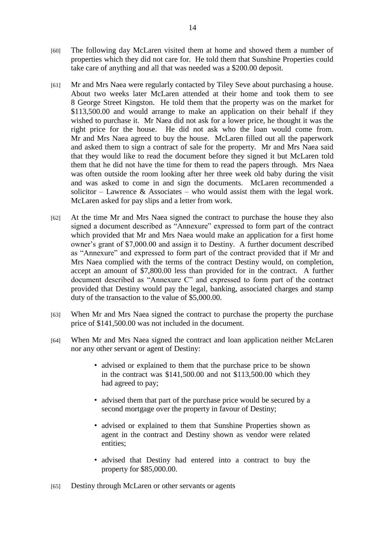- [60] The following day McLaren visited them at home and showed them a number of properties which they did not care for. He told them that Sunshine Properties could take care of anything and all that was needed was a \$200.00 deposit.
- [61] Mr and Mrs Naea were regularly contacted by Tiley Seve about purchasing a house. About two weeks later McLaren attended at their home and took them to see 8 George Street Kingston. He told them that the property was on the market for \$113,500.00 and would arrange to make an application on their behalf if they wished to purchase it. Mr Naea did not ask for a lower price, he thought it was the right price for the house. He did not ask who the loan would come from. Mr and Mrs Naea agreed to buy the house. McLaren filled out all the paperwork and asked them to sign a contract of sale for the property. Mr and Mrs Naea said that they would like to read the document before they signed it but McLaren told them that he did not have the time for them to read the papers through. Mrs Naea was often outside the room looking after her three week old baby during the visit and was asked to come in and sign the documents. McLaren recommended a solicitor – Lawrence & Associates – who would assist them with the legal work. McLaren asked for pay slips and a letter from work.
- [62] At the time Mr and Mrs Naea signed the contract to purchase the house they also signed a document described as "Annexure" expressed to form part of the contract which provided that Mr and Mrs Naea would make an application for a first home owner's grant of \$7,000.00 and assign it to Destiny. A further document described as "Annexure" and expressed to form part of the contract provided that if Mr and Mrs Naea complied with the terms of the contract Destiny would, on completion, accept an amount of \$7,800.00 less than provided for in the contract. A further document described as "Annexure C" and expressed to form part of the contract provided that Destiny would pay the legal, banking, associated charges and stamp duty of the transaction to the value of \$5,000.00.
- [63] When Mr and Mrs Naea signed the contract to purchase the property the purchase price of \$141,500.00 was not included in the document.
- [64] When Mr and Mrs Naea signed the contract and loan application neither McLaren nor any other servant or agent of Destiny:
	- advised or explained to them that the purchase price to be shown in the contract was \$141,500.00 and not \$113,500.00 which they had agreed to pay;
	- advised them that part of the purchase price would be secured by a second mortgage over the property in favour of Destiny;
	- advised or explained to them that Sunshine Properties shown as agent in the contract and Destiny shown as vendor were related entities;
	- advised that Destiny had entered into a contract to buy the property for \$85,000.00.
- [65] Destiny through McLaren or other servants or agents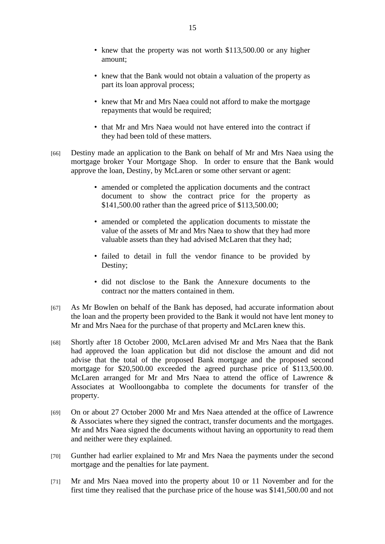- knew that the property was not worth \$113,500.00 or any higher amount;
- knew that the Bank would not obtain a valuation of the property as part its loan approval process;
- knew that Mr and Mrs Naea could not afford to make the mortgage repayments that would be required;
- that Mr and Mrs Naea would not have entered into the contract if they had been told of these matters.
- [66] Destiny made an application to the Bank on behalf of Mr and Mrs Naea using the mortgage broker Your Mortgage Shop. In order to ensure that the Bank would approve the loan, Destiny, by McLaren or some other servant or agent:
	- amended or completed the application documents and the contract document to show the contract price for the property as \$141,500.00 rather than the agreed price of \$113,500.00;
	- amended or completed the application documents to misstate the value of the assets of Mr and Mrs Naea to show that they had more valuable assets than they had advised McLaren that they had;
	- failed to detail in full the vendor finance to be provided by Destiny;
	- did not disclose to the Bank the Annexure documents to the contract nor the matters contained in them.
- [67] As Mr Bowlen on behalf of the Bank has deposed, had accurate information about the loan and the property been provided to the Bank it would not have lent money to Mr and Mrs Naea for the purchase of that property and McLaren knew this.
- [68] Shortly after 18 October 2000, McLaren advised Mr and Mrs Naea that the Bank had approved the loan application but did not disclose the amount and did not advise that the total of the proposed Bank mortgage and the proposed second mortgage for \$20,500.00 exceeded the agreed purchase price of \$113,500.00. McLaren arranged for Mr and Mrs Naea to attend the office of Lawrence & Associates at Woolloongabba to complete the documents for transfer of the property.
- [69] On or about 27 October 2000 Mr and Mrs Naea attended at the office of Lawrence & Associates where they signed the contract, transfer documents and the mortgages. Mr and Mrs Naea signed the documents without having an opportunity to read them and neither were they explained.
- [70] Gunther had earlier explained to Mr and Mrs Naea the payments under the second mortgage and the penalties for late payment.
- [71] Mr and Mrs Naea moved into the property about 10 or 11 November and for the first time they realised that the purchase price of the house was \$141,500.00 and not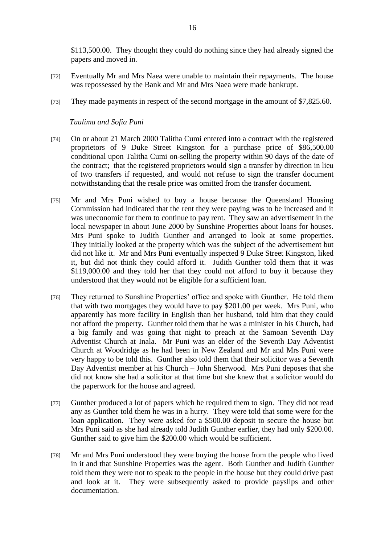\$113,500.00. They thought they could do nothing since they had already signed the papers and moved in.

- [72] Eventually Mr and Mrs Naea were unable to maintain their repayments. The house was repossessed by the Bank and Mr and Mrs Naea were made bankrupt.
- [73] They made payments in respect of the second mortgage in the amount of \$7,825.60.

## *Tuulima and Sofia Puni*

- [74] On or about 21 March 2000 Talitha Cumi entered into a contract with the registered proprietors of 9 Duke Street Kingston for a purchase price of \$86,500.00 conditional upon Talitha Cumi on-selling the property within 90 days of the date of the contract; that the registered proprietors would sign a transfer by direction in lieu of two transfers if requested, and would not refuse to sign the transfer document notwithstanding that the resale price was omitted from the transfer document.
- [75] Mr and Mrs Puni wished to buy a house because the Queensland Housing Commission had indicated that the rent they were paying was to be increased and it was uneconomic for them to continue to pay rent. They saw an advertisement in the local newspaper in about June 2000 by Sunshine Properties about loans for houses. Mrs Puni spoke to Judith Gunther and arranged to look at some properties. They initially looked at the property which was the subject of the advertisement but did not like it. Mr and Mrs Puni eventually inspected 9 Duke Street Kingston, liked it, but did not think they could afford it. Judith Gunther told them that it was \$119,000.00 and they told her that they could not afford to buy it because they understood that they would not be eligible for a sufficient loan.
- [76] They returned to Sunshine Properties' office and spoke with Gunther. He told them that with two mortgages they would have to pay \$201.00 per week. Mrs Puni, who apparently has more facility in English than her husband, told him that they could not afford the property. Gunther told them that he was a minister in his Church, had a big family and was going that night to preach at the Samoan Seventh Day Adventist Church at Inala. Mr Puni was an elder of the Seventh Day Adventist Church at Woodridge as he had been in New Zealand and Mr and Mrs Puni were very happy to be told this. Gunther also told them that their solicitor was a Seventh Day Adventist member at his Church – John Sherwood. Mrs Puni deposes that she did not know she had a solicitor at that time but she knew that a solicitor would do the paperwork for the house and agreed.
- [77] Gunther produced a lot of papers which he required them to sign. They did not read any as Gunther told them he was in a hurry. They were told that some were for the loan application. They were asked for a \$500.00 deposit to secure the house but Mrs Puni said as she had already told Judith Gunther earlier, they had only \$200.00. Gunther said to give him the \$200.00 which would be sufficient.
- [78] Mr and Mrs Puni understood they were buying the house from the people who lived in it and that Sunshine Properties was the agent. Both Gunther and Judith Gunther told them they were not to speak to the people in the house but they could drive past and look at it. They were subsequently asked to provide payslips and other documentation.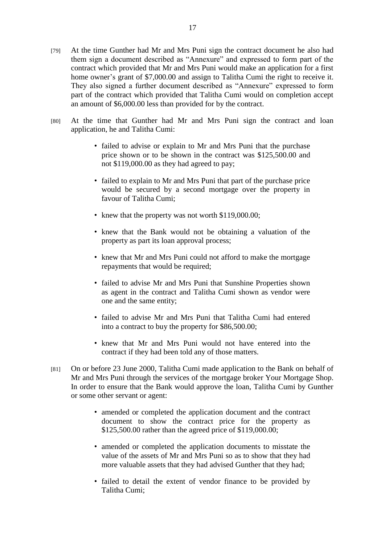- [79] At the time Gunther had Mr and Mrs Puni sign the contract document he also had them sign a document described as "Annexure" and expressed to form part of the contract which provided that Mr and Mrs Puni would make an application for a first home owner's grant of \$7,000.00 and assign to Talitha Cumi the right to receive it. They also signed a further document described as "Annexure" expressed to form part of the contract which provided that Talitha Cumi would on completion accept an amount of \$6,000.00 less than provided for by the contract.
- [80] At the time that Gunther had Mr and Mrs Puni sign the contract and loan application, he and Talitha Cumi:
	- failed to advise or explain to Mr and Mrs Puni that the purchase price shown or to be shown in the contract was \$125,500.00 and not \$119,000.00 as they had agreed to pay;
	- failed to explain to Mr and Mrs Puni that part of the purchase price would be secured by a second mortgage over the property in favour of Talitha Cumi;
	- knew that the property was not worth \$119,000.00;
	- knew that the Bank would not be obtaining a valuation of the property as part its loan approval process;
	- knew that Mr and Mrs Puni could not afford to make the mortgage repayments that would be required;
	- failed to advise Mr and Mrs Puni that Sunshine Properties shown as agent in the contract and Talitha Cumi shown as vendor were one and the same entity;
	- failed to advise Mr and Mrs Puni that Talitha Cumi had entered into a contract to buy the property for \$86,500.00;
	- knew that Mr and Mrs Puni would not have entered into the contract if they had been told any of those matters.
- [81] On or before 23 June 2000, Talitha Cumi made application to the Bank on behalf of Mr and Mrs Puni through the services of the mortgage broker Your Mortgage Shop. In order to ensure that the Bank would approve the loan, Talitha Cumi by Gunther or some other servant or agent:
	- amended or completed the application document and the contract document to show the contract price for the property as \$125,500.00 rather than the agreed price of \$119,000.00;
	- amended or completed the application documents to misstate the value of the assets of Mr and Mrs Puni so as to show that they had more valuable assets that they had advised Gunther that they had;
	- failed to detail the extent of vendor finance to be provided by Talitha Cumi;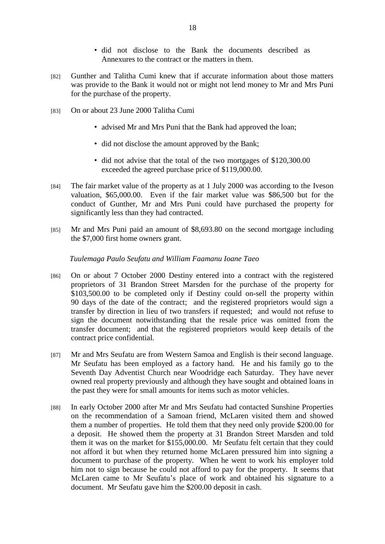- did not disclose to the Bank the documents described as Annexures to the contract or the matters in them.
- [82] Gunther and Talitha Cumi knew that if accurate information about those matters was provide to the Bank it would not or might not lend money to Mr and Mrs Puni for the purchase of the property.
- [83] On or about 23 June 2000 Talitha Cumi
	- advised Mr and Mrs Puni that the Bank had approved the loan;
	- did not disclose the amount approved by the Bank;
	- did not advise that the total of the two mortgages of \$120,300.00 exceeded the agreed purchase price of \$119,000.00.
- [84] The fair market value of the property as at 1 July 2000 was according to the Iveson valuation, \$65,000.00. Even if the fair market value was \$86,500 but for the conduct of Gunther, Mr and Mrs Puni could have purchased the property for significantly less than they had contracted.
- [85] Mr and Mrs Puni paid an amount of \$8,693.80 on the second mortgage including the \$7,000 first home owners grant.

## *Tuulemaga Paulo Seufatu and William Faamanu Ioane Taeo*

- [86] On or about 7 October 2000 Destiny entered into a contract with the registered proprietors of 31 Brandon Street Marsden for the purchase of the property for \$103,500.00 to be completed only if Destiny could on-sell the property within 90 days of the date of the contract; and the registered proprietors would sign a transfer by direction in lieu of two transfers if requested; and would not refuse to sign the document notwithstanding that the resale price was omitted from the transfer document; and that the registered proprietors would keep details of the contract price confidential.
- [87] Mr and Mrs Seufatu are from Western Samoa and English is their second language. Mr Seufatu has been employed as a factory hand. He and his family go to the Seventh Day Adventist Church near Woodridge each Saturday. They have never owned real property previously and although they have sought and obtained loans in the past they were for small amounts for items such as motor vehicles.
- [88] In early October 2000 after Mr and Mrs Seufatu had contacted Sunshine Properties on the recommendation of a Samoan friend, McLaren visited them and showed them a number of properties. He told them that they need only provide \$200.00 for a deposit. He showed them the property at 31 Brandon Street Marsden and told them it was on the market for \$155,000.00. Mr Seufatu felt certain that they could not afford it but when they returned home McLaren pressured him into signing a document to purchase of the property. When he went to work his employer told him not to sign because he could not afford to pay for the property. It seems that McLaren came to Mr Seufatu's place of work and obtained his signature to a document. Mr Seufatu gave him the \$200.00 deposit in cash.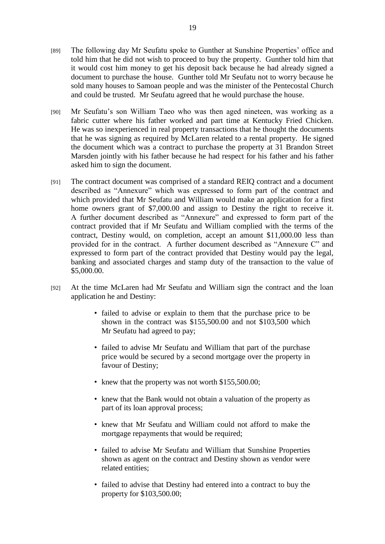- [89] The following day Mr Seufatu spoke to Gunther at Sunshine Properties' office and told him that he did not wish to proceed to buy the property. Gunther told him that it would cost him money to get his deposit back because he had already signed a document to purchase the house. Gunther told Mr Seufatu not to worry because he sold many houses to Samoan people and was the minister of the Pentecostal Church and could be trusted. Mr Seufatu agreed that he would purchase the house.
- [90] Mr Seufatu's son William Taeo who was then aged nineteen, was working as a fabric cutter where his father worked and part time at Kentucky Fried Chicken. He was so inexperienced in real property transactions that he thought the documents that he was signing as required by McLaren related to a rental property. He signed the document which was a contract to purchase the property at 31 Brandon Street Marsden jointly with his father because he had respect for his father and his father asked him to sign the document.
- [91] The contract document was comprised of a standard REIQ contract and a document described as "Annexure" which was expressed to form part of the contract and which provided that Mr Seufatu and William would make an application for a first home owners grant of \$7,000.00 and assign to Destiny the right to receive it. A further document described as "Annexure" and expressed to form part of the contract provided that if Mr Seufatu and William complied with the terms of the contract, Destiny would, on completion, accept an amount \$11,000.00 less than provided for in the contract. A further document described as "Annexure C" and expressed to form part of the contract provided that Destiny would pay the legal, banking and associated charges and stamp duty of the transaction to the value of \$5,000.00.
- [92] At the time McLaren had Mr Seufatu and William sign the contract and the loan application he and Destiny:
	- failed to advise or explain to them that the purchase price to be shown in the contract was \$155,500.00 and not \$103,500 which Mr Seufatu had agreed to pay;
	- failed to advise Mr Seufatu and William that part of the purchase price would be secured by a second mortgage over the property in favour of Destiny;
	- knew that the property was not worth \$155,500.00;
	- knew that the Bank would not obtain a valuation of the property as part of its loan approval process;
	- knew that Mr Seufatu and William could not afford to make the mortgage repayments that would be required;
	- failed to advise Mr Seufatu and William that Sunshine Properties shown as agent on the contract and Destiny shown as vendor were related entities;
	- failed to advise that Destiny had entered into a contract to buy the property for \$103,500.00;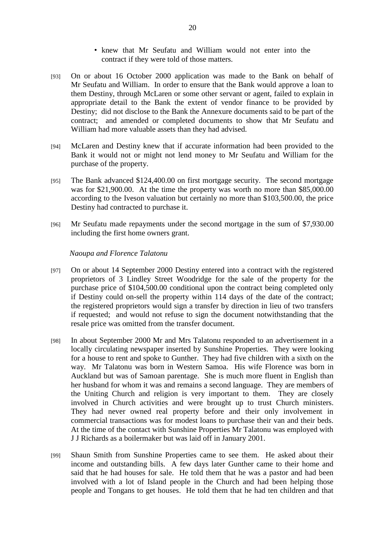- knew that Mr Seufatu and William would not enter into the contract if they were told of those matters.
- [93] On or about 16 October 2000 application was made to the Bank on behalf of Mr Seufatu and William. In order to ensure that the Bank would approve a loan to them Destiny, through McLaren or some other servant or agent, failed to explain in appropriate detail to the Bank the extent of vendor finance to be provided by Destiny; did not disclose to the Bank the Annexure documents said to be part of the contract; and amended or completed documents to show that Mr Seufatu and William had more valuable assets than they had advised.
- [94] McLaren and Destiny knew that if accurate information had been provided to the Bank it would not or might not lend money to Mr Seufatu and William for the purchase of the property.
- [95] The Bank advanced \$124,400.00 on first mortgage security. The second mortgage was for \$21,900.00. At the time the property was worth no more than \$85,000.00 according to the Iveson valuation but certainly no more than \$103,500.00, the price Destiny had contracted to purchase it.
- [96] Mr Seufatu made repayments under the second mortgage in the sum of \$7,930.00 including the first home owners grant.

#### *Naoupa and Florence Talatonu*

- [97] On or about 14 September 2000 Destiny entered into a contract with the registered proprietors of 3 Lindley Street Woodridge for the sale of the property for the purchase price of \$104,500.00 conditional upon the contract being completed only if Destiny could on-sell the property within 114 days of the date of the contract; the registered proprietors would sign a transfer by direction in lieu of two transfers if requested; and would not refuse to sign the document notwithstanding that the resale price was omitted from the transfer document.
- [98] In about September 2000 Mr and Mrs Talatonu responded to an advertisement in a locally circulating newspaper inserted by Sunshine Properties. They were looking for a house to rent and spoke to Gunther. They had five children with a sixth on the way. Mr Talatonu was born in Western Samoa. His wife Florence was born in Auckland but was of Samoan parentage. She is much more fluent in English than her husband for whom it was and remains a second language. They are members of the Uniting Church and religion is very important to them. They are closely involved in Church activities and were brought up to trust Church ministers. They had never owned real property before and their only involvement in commercial transactions was for modest loans to purchase their van and their beds. At the time of the contact with Sunshine Properties Mr Talatonu was employed with J J Richards as a boilermaker but was laid off in January 2001.
- [99] Shaun Smith from Sunshine Properties came to see them. He asked about their income and outstanding bills. A few days later Gunther came to their home and said that he had houses for sale. He told them that he was a pastor and had been involved with a lot of Island people in the Church and had been helping those people and Tongans to get houses. He told them that he had ten children and that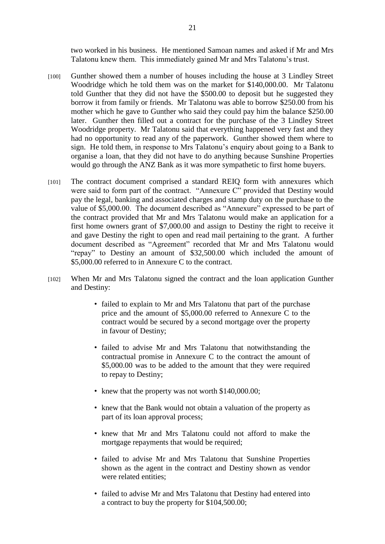two worked in his business. He mentioned Samoan names and asked if Mr and Mrs Talatonu knew them. This immediately gained Mr and Mrs Talatonu's trust.

- [100] Gunther showed them a number of houses including the house at 3 Lindley Street Woodridge which he told them was on the market for \$140,000.00. Mr Talatonu told Gunther that they did not have the \$500.00 to deposit but he suggested they borrow it from family or friends. Mr Talatonu was able to borrow \$250.00 from his mother which he gave to Gunther who said they could pay him the balance \$250.00 later. Gunther then filled out a contract for the purchase of the 3 Lindley Street Woodridge property. Mr Talatonu said that everything happened very fast and they had no opportunity to read any of the paperwork. Gunther showed them where to sign. He told them, in response to Mrs Talatonu's enquiry about going to a Bank to organise a loan, that they did not have to do anything because Sunshine Properties would go through the ANZ Bank as it was more sympathetic to first home buyers.
- [101] The contract document comprised a standard REIQ form with annexures which were said to form part of the contract. "Annexure C" provided that Destiny would pay the legal, banking and associated charges and stamp duty on the purchase to the value of \$5,000.00. The document described as "Annexure" expressed to be part of the contract provided that Mr and Mrs Talatonu would make an application for a first home owners grant of \$7,000.00 and assign to Destiny the right to receive it and gave Destiny the right to open and read mail pertaining to the grant. A further document described as "Agreement" recorded that Mr and Mrs Talatonu would "repay" to Destiny an amount of \$32,500.00 which included the amount of \$5,000.00 referred to in Annexure C to the contract.
- [102] When Mr and Mrs Talatonu signed the contract and the loan application Gunther and Destiny:
	- failed to explain to Mr and Mrs Talatonu that part of the purchase price and the amount of \$5,000.00 referred to Annexure C to the contract would be secured by a second mortgage over the property in favour of Destiny;
	- failed to advise Mr and Mrs Talatonu that notwithstanding the contractual promise in Annexure C to the contract the amount of \$5,000.00 was to be added to the amount that they were required to repay to Destiny;
	- knew that the property was not worth \$140,000.00;
	- knew that the Bank would not obtain a valuation of the property as part of its loan approval process;
	- knew that Mr and Mrs Talatonu could not afford to make the mortgage repayments that would be required;
	- failed to advise Mr and Mrs Talatonu that Sunshine Properties shown as the agent in the contract and Destiny shown as vendor were related entities;
	- failed to advise Mr and Mrs Talatonu that Destiny had entered into a contract to buy the property for \$104,500.00;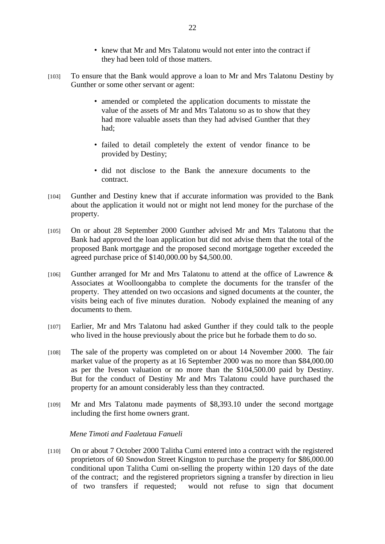- knew that Mr and Mrs Talatonu would not enter into the contract if they had been told of those matters.
- [103] To ensure that the Bank would approve a loan to Mr and Mrs Talatonu Destiny by Gunther or some other servant or agent:
	- amended or completed the application documents to misstate the value of the assets of Mr and Mrs Talatonu so as to show that they had more valuable assets than they had advised Gunther that they had;
	- failed to detail completely the extent of vendor finance to be provided by Destiny;
	- did not disclose to the Bank the annexure documents to the contract.
- [104] Gunther and Destiny knew that if accurate information was provided to the Bank about the application it would not or might not lend money for the purchase of the property.
- [105] On or about 28 September 2000 Gunther advised Mr and Mrs Talatonu that the Bank had approved the loan application but did not advise them that the total of the proposed Bank mortgage and the proposed second mortgage together exceeded the agreed purchase price of \$140,000.00 by \$4,500.00.
- $[106]$  Gunther arranged for Mr and Mrs Talatonu to attend at the office of Lawrence & Associates at Woolloongabba to complete the documents for the transfer of the property. They attended on two occasions and signed documents at the counter, the visits being each of five minutes duration. Nobody explained the meaning of any documents to them.
- [107] Earlier, Mr and Mrs Talatonu had asked Gunther if they could talk to the people who lived in the house previously about the price but he forbade them to do so.
- [108] The sale of the property was completed on or about 14 November 2000. The fair market value of the property as at 16 September 2000 was no more than \$84,000.00 as per the Iveson valuation or no more than the \$104,500.00 paid by Destiny. But for the conduct of Destiny Mr and Mrs Talatonu could have purchased the property for an amount considerably less than they contracted.
- [109] Mr and Mrs Talatonu made payments of \$8,393.10 under the second mortgage including the first home owners grant.

## *Mene Timoti and Faaletaua Fanueli*

[110] On or about 7 October 2000 Talitha Cumi entered into a contract with the registered proprietors of 60 Snowdon Street Kingston to purchase the property for \$86,000.00 conditional upon Talitha Cumi on-selling the property within 120 days of the date of the contract; and the registered proprietors signing a transfer by direction in lieu of two transfers if requested; would not refuse to sign that document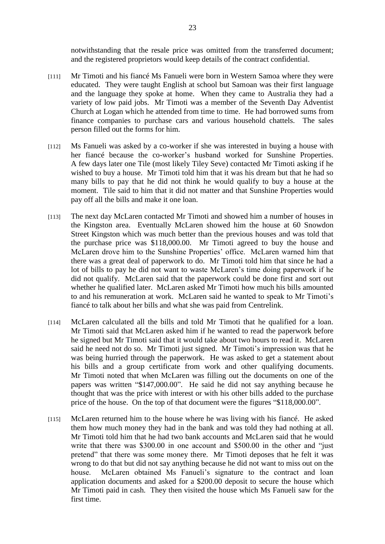notwithstanding that the resale price was omitted from the transferred document; and the registered proprietors would keep details of the contract confidential.

- [111] Mr Timoti and his fiancé Ms Fanueli were born in Western Samoa where they were educated. They were taught English at school but Samoan was their first language and the language they spoke at home. When they came to Australia they had a variety of low paid jobs. Mr Timoti was a member of the Seventh Day Adventist Church at Logan which he attended from time to time. He had borrowed sums from finance companies to purchase cars and various household chattels. The sales person filled out the forms for him.
- [112] Ms Fanueli was asked by a co-worker if she was interested in buying a house with her fiancé because the co-worker's husband worked for Sunshine Properties. A few days later one Tile (most likely Tiley Seve) contacted Mr Timoti asking if he wished to buy a house. Mr Timoti told him that it was his dream but that he had so many bills to pay that he did not think he would qualify to buy a house at the moment. Tile said to him that it did not matter and that Sunshine Properties would pay off all the bills and make it one loan.
- [113] The next day McLaren contacted Mr Timoti and showed him a number of houses in the Kingston area. Eventually McLaren showed him the house at 60 Snowdon Street Kingston which was much better than the previous houses and was told that the purchase price was \$118,000.00. Mr Timoti agreed to buy the house and McLaren drove him to the Sunshine Properties' office. McLaren warned him that there was a great deal of paperwork to do. Mr Timoti told him that since he had a lot of bills to pay he did not want to waste McLaren's time doing paperwork if he did not qualify. McLaren said that the paperwork could be done first and sort out whether he qualified later. McLaren asked Mr Timoti how much his bills amounted to and his remuneration at work. McLaren said he wanted to speak to Mr Timoti's fiancé to talk about her bills and what she was paid from Centrelink.
- [114] McLaren calculated all the bills and told Mr Timoti that he qualified for a loan. Mr Timoti said that McLaren asked him if he wanted to read the paperwork before he signed but Mr Timoti said that it would take about two hours to read it. McLaren said he need not do so. Mr Timoti just signed. Mr Timoti's impression was that he was being hurried through the paperwork. He was asked to get a statement about his bills and a group certificate from work and other qualifying documents. Mr Timoti noted that when McLaren was filling out the documents on one of the papers was written "\$147,000.00". He said he did not say anything because he thought that was the price with interest or with his other bills added to the purchase price of the house. On the top of that document were the figures "\$118,000.00".
- [115] McLaren returned him to the house where he was living with his fiancé. He asked them how much money they had in the bank and was told they had nothing at all. Mr Timoti told him that he had two bank accounts and McLaren said that he would write that there was \$300.00 in one account and \$500.00 in the other and "just" pretend" that there was some money there. Mr Timoti deposes that he felt it was wrong to do that but did not say anything because he did not want to miss out on the house. McLaren obtained Ms Fanueli's signature to the contract and loan application documents and asked for a \$200.00 deposit to secure the house which Mr Timoti paid in cash. They then visited the house which Ms Fanueli saw for the first time.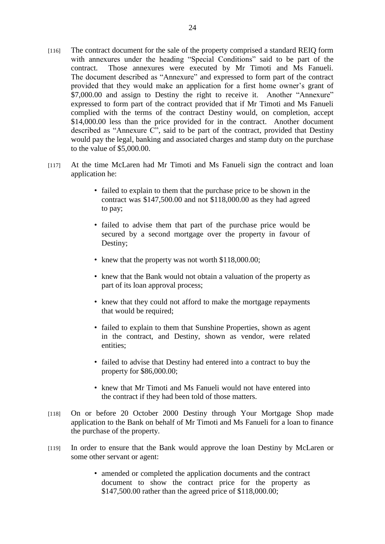- [116] The contract document for the sale of the property comprised a standard REIQ form with annexures under the heading "Special Conditions" said to be part of the contract. Those annexures were executed by Mr Timoti and Ms Fanueli. The document described as "Annexure" and expressed to form part of the contract provided that they would make an application for a first home owner's grant of \$7,000.00 and assign to Destiny the right to receive it. Another "Annexure" expressed to form part of the contract provided that if Mr Timoti and Ms Fanueli complied with the terms of the contract Destiny would, on completion, accept \$14,000.00 less than the price provided for in the contract. Another document described as "Annexure C", said to be part of the contract, provided that Destiny would pay the legal, banking and associated charges and stamp duty on the purchase to the value of \$5,000.00.
- [117] At the time McLaren had Mr Timoti and Ms Fanueli sign the contract and loan application he:
	- failed to explain to them that the purchase price to be shown in the contract was \$147,500.00 and not \$118,000.00 as they had agreed to pay;
	- failed to advise them that part of the purchase price would be secured by a second mortgage over the property in favour of Destiny;
	- knew that the property was not worth \$118,000.00;
	- knew that the Bank would not obtain a valuation of the property as part of its loan approval process;
	- knew that they could not afford to make the mortgage repayments that would be required;
	- failed to explain to them that Sunshine Properties, shown as agent in the contract, and Destiny, shown as vendor, were related entities;
	- failed to advise that Destiny had entered into a contract to buy the property for \$86,000.00;
	- knew that Mr Timoti and Ms Fanueli would not have entered into the contract if they had been told of those matters.
- [118] On or before 20 October 2000 Destiny through Your Mortgage Shop made application to the Bank on behalf of Mr Timoti and Ms Fanueli for a loan to finance the purchase of the property.
- [119] In order to ensure that the Bank would approve the loan Destiny by McLaren or some other servant or agent:
	- amended or completed the application documents and the contract document to show the contract price for the property as \$147,500.00 rather than the agreed price of \$118,000.00;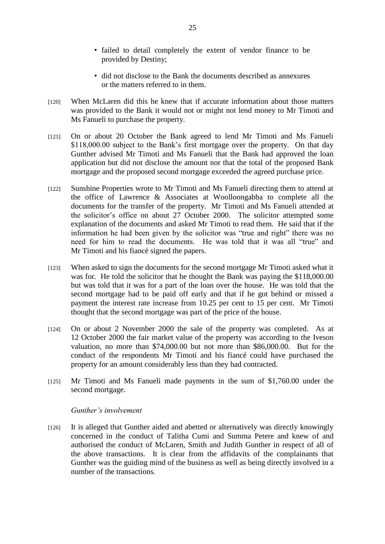- failed to detail completely the extent of vendor finance to be provided by Destiny;
- did not disclose to the Bank the documents described as annexures or the matters referred to in them.
- [120] When McLaren did this he knew that if accurate information about those matters was provided to the Bank it would not or might not lend money to Mr Timoti and Ms Fanueli to purchase the property.
- [121] On or about 20 October the Bank agreed to lend Mr Timoti and Ms Fanueli \$118,000.00 subject to the Bank's first mortgage over the property. On that day Gunther advised Mr Timoti and Ms Fanueli that the Bank had approved the loan application but did not disclose the amount nor that the total of the proposed Bank mortgage and the proposed second mortgage exceeded the agreed purchase price.
- [122] Sunshine Properties wrote to Mr Timoti and Ms Fanueli directing them to attend at the office of Lawrence & Associates at Woolloongabba to complete all the documents for the transfer of the property. Mr Timoti and Ms Fanueli attended at the solicitor's office on about 27 October 2000. The solicitor attempted some explanation of the documents and asked Mr Timoti to read them. He said that if the information he had been given by the solicitor was "true and right" there was no need for him to read the documents. He was told that it was all "true" and Mr Timoti and his fiancé signed the papers.
- [123] When asked to sign the documents for the second mortgage Mr Timoti asked what it was for. He told the solicitor that he thought the Bank was paying the \$118,000.00 but was told that it was for a part of the loan over the house. He was told that the second mortgage had to be paid off early and that if he got behind or missed a payment the interest rate increase from 10.25 per cent to 15 per cent. Mr Timoti thought that the second mortgage was part of the price of the house.
- [124] On or about 2 November 2000 the sale of the property was completed. As at 12 October 2000 the fair market value of the property was according to the Iveson valuation, no more than \$74,000.00 but not more than \$86,000.00. But for the conduct of the respondents Mr Timoti and his fiancé could have purchased the property for an amount considerably less than they had contracted.
- [125] Mr Timoti and Ms Fanueli made payments in the sum of \$1,760.00 under the second mortgage.

## *Gunther's involvement*

[126] It is alleged that Gunther aided and abetted or alternatively was directly knowingly concerned in the conduct of Talitha Cumi and Summa Petere and knew of and authorised the conduct of McLaren, Smith and Judith Gunther in respect of all of the above transactions. It is clear from the affidavits of the complainants that Gunther was the guiding mind of the business as well as being directly involved in a number of the transactions.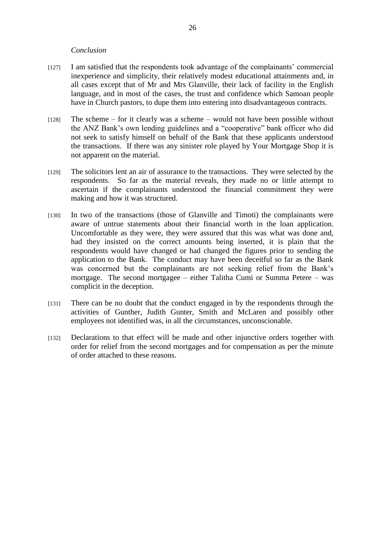## *Conclusion*

- [127] I am satisfied that the respondents took advantage of the complainants' commercial inexperience and simplicity, their relatively modest educational attainments and, in all cases except that of Mr and Mrs Glanville, their lack of facility in the English language, and in most of the cases, the trust and confidence which Samoan people have in Church pastors, to dupe them into entering into disadvantageous contracts.
- [128] The scheme for it clearly was a scheme would not have been possible without the ANZ Bank's own lending guidelines and a "cooperative" bank officer who did not seek to satisfy himself on behalf of the Bank that these applicants understood the transactions. If there was any sinister role played by Your Mortgage Shop it is not apparent on the material.
- [129] The solicitors lent an air of assurance to the transactions. They were selected by the respondents. So far as the material reveals, they made no or little attempt to ascertain if the complainants understood the financial commitment they were making and how it was structured.
- [130] In two of the transactions (those of Glanville and Timoti) the complainants were aware of untrue statements about their financial worth in the loan application. Uncomfortable as they were, they were assured that this was what was done and, had they insisted on the correct amounts being inserted, it is plain that the respondents would have changed or had changed the figures prior to sending the application to the Bank. The conduct may have been deceitful so far as the Bank was concerned but the complainants are not seeking relief from the Bank's mortgage. The second mortgagee – either Talitha Cumi or Summa Petere – was complicit in the deception.
- [131] There can be no doubt that the conduct engaged in by the respondents through the activities of Gunther, Judith Gunter, Smith and McLaren and possibly other employees not identified was, in all the circumstances, unconscionable.
- [132] Declarations to that effect will be made and other injunctive orders together with order for relief from the second mortgages and for compensation as per the minute of order attached to these reasons.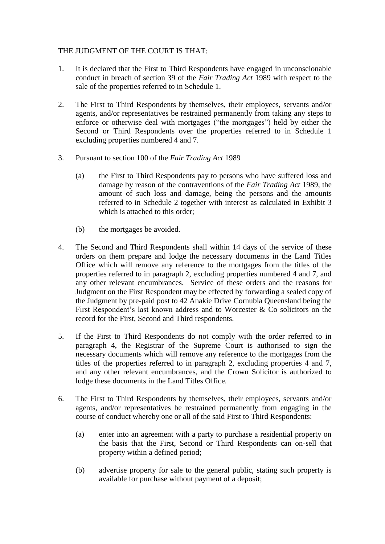## THE JUDGMENT OF THE COURT IS THAT:

- 1. It is declared that the First to Third Respondents have engaged in unconscionable conduct in breach of section 39 of the *Fair Trading Act* 1989 with respect to the sale of the properties referred to in Schedule 1.
- 2. The First to Third Respondents by themselves, their employees, servants and/or agents, and/or representatives be restrained permanently from taking any steps to enforce or otherwise deal with mortgages ("the mortgages") held by either the Second or Third Respondents over the properties referred to in Schedule 1 excluding properties numbered 4 and 7.
- 3. Pursuant to section 100 of the *Fair Trading Act* 1989
	- (a) the First to Third Respondents pay to persons who have suffered loss and damage by reason of the contraventions of the *Fair Trading Act* 1989, the amount of such loss and damage, being the persons and the amounts referred to in Schedule 2 together with interest as calculated in Exhibit 3 which is attached to this order:
	- (b) the mortgages be avoided.
- 4. The Second and Third Respondents shall within 14 days of the service of these orders on them prepare and lodge the necessary documents in the Land Titles Office which will remove any reference to the mortgages from the titles of the properties referred to in paragraph 2, excluding properties numbered 4 and 7, and any other relevant encumbrances. Service of these orders and the reasons for Judgment on the First Respondent may be effected by forwarding a sealed copy of the Judgment by pre-paid post to 42 Anakie Drive Cornubia Queensland being the First Respondent's last known address and to Worcester & Co solicitors on the record for the First, Second and Third respondents.
- 5. If the First to Third Respondents do not comply with the order referred to in paragraph 4, the Registrar of the Supreme Court is authorised to sign the necessary documents which will remove any reference to the mortgages from the titles of the properties referred to in paragraph 2, excluding properties 4 and 7, and any other relevant encumbrances, and the Crown Solicitor is authorized to lodge these documents in the Land Titles Office.
- 6. The First to Third Respondents by themselves, their employees, servants and/or agents, and/or representatives be restrained permanently from engaging in the course of conduct whereby one or all of the said First to Third Respondents:
	- (a) enter into an agreement with a party to purchase a residential property on the basis that the First, Second or Third Respondents can on-sell that property within a defined period;
	- (b) advertise property for sale to the general public, stating such property is available for purchase without payment of a deposit;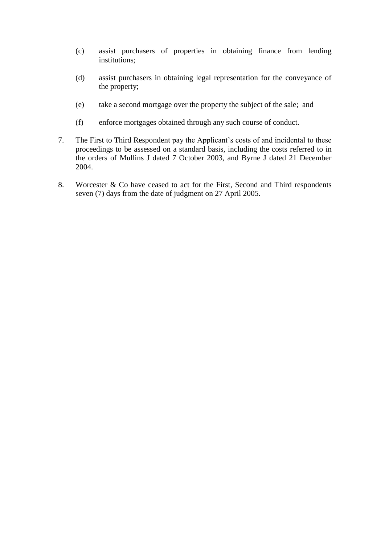- (c) assist purchasers of properties in obtaining finance from lending institutions;
- (d) assist purchasers in obtaining legal representation for the conveyance of the property;
- (e) take a second mortgage over the property the subject of the sale; and
- (f) enforce mortgages obtained through any such course of conduct.
- 7. The First to Third Respondent pay the Applicant's costs of and incidental to these proceedings to be assessed on a standard basis, including the costs referred to in the orders of Mullins J dated 7 October 2003, and Byrne J dated 21 December 2004.
- 8. Worcester & Co have ceased to act for the First, Second and Third respondents seven (7) days from the date of judgment on 27 April 2005.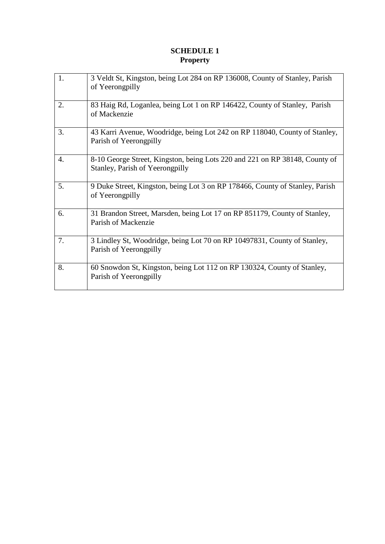# **SCHEDULE 1 Property**

| 1. | 3 Veldt St, Kingston, being Lot 284 on RP 136008, County of Stanley, Parish<br>of Yeerongpilly                 |
|----|----------------------------------------------------------------------------------------------------------------|
| 2. | 83 Haig Rd, Loganlea, being Lot 1 on RP 146422, County of Stanley, Parish<br>of Mackenzie                      |
| 3. | 43 Karri Avenue, Woodridge, being Lot 242 on RP 118040, County of Stanley,<br>Parish of Yeerongpilly           |
| 4. | 8-10 George Street, Kingston, being Lots 220 and 221 on RP 38148, County of<br>Stanley, Parish of Yeerongpilly |
| 5. | 9 Duke Street, Kingston, being Lot 3 on RP 178466, County of Stanley, Parish<br>of Yeerongpilly                |
| 6. | 31 Brandon Street, Marsden, being Lot 17 on RP 851179, County of Stanley,<br>Parish of Mackenzie               |
| 7. | 3 Lindley St, Woodridge, being Lot 70 on RP 10497831, County of Stanley,<br>Parish of Yeerongpilly             |
| 8. | 60 Snowdon St, Kingston, being Lot 112 on RP 130324, County of Stanley,<br>Parish of Yeerongpilly              |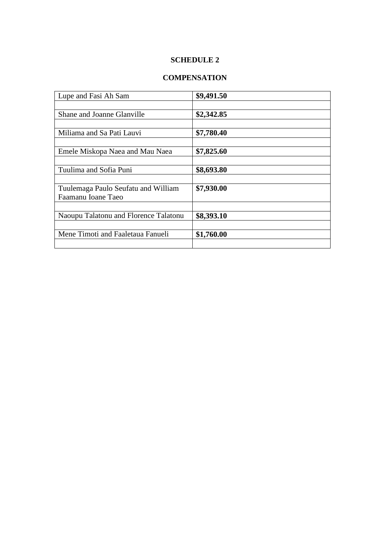## **SCHEDULE 2**

# **COMPENSATION**

| Lupe and Fasi Ah Sam                  | \$9,491.50 |
|---------------------------------------|------------|
|                                       |            |
| Shane and Joanne Glanville            | \$2,342.85 |
|                                       |            |
| Miliama and Sa Pati Lauvi             | \$7,780.40 |
|                                       |            |
| Emele Miskopa Naea and Mau Naea       | \$7,825.60 |
|                                       |            |
| Tuulima and Sofia Puni                | \$8,693.80 |
|                                       |            |
| Tuulemaga Paulo Seufatu and William   | \$7,930.00 |
| Faamanu Ioane Taeo                    |            |
|                                       |            |
| Naoupu Talatonu and Florence Talatonu | \$8,393.10 |
|                                       |            |
| Mene Timoti and Faaletaua Fanueli     | \$1,760.00 |
|                                       |            |